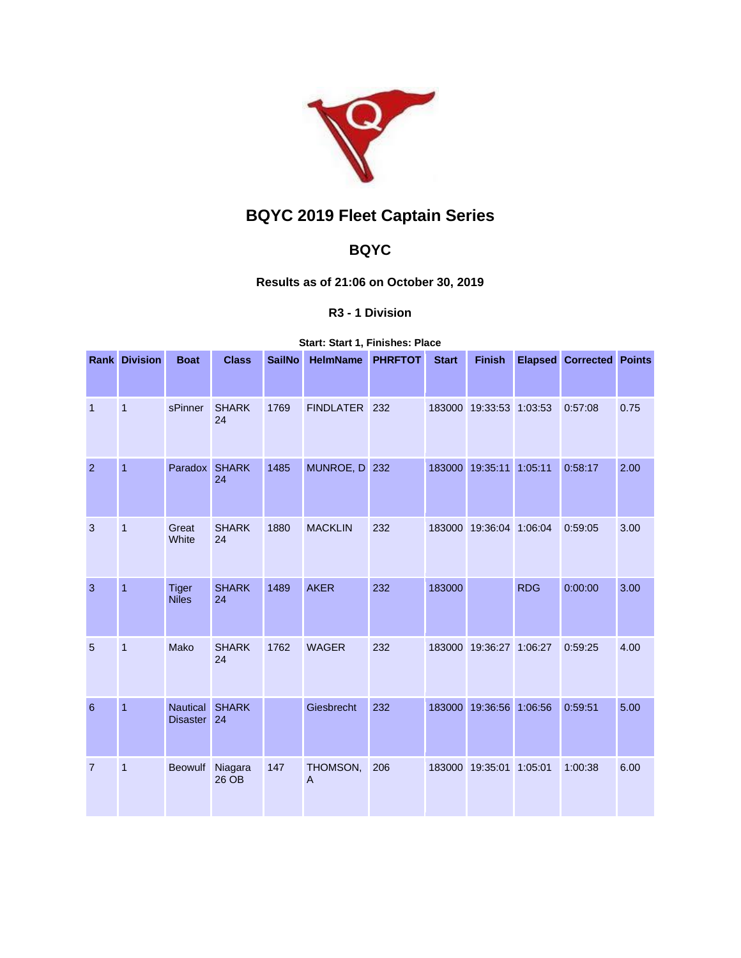

# **BQYC 2019 Fleet Captain Series**

## **BQYC**

## **Results as of 21:06 on October 30, 2019**

### **R3 - 1 Division**

#### **Start: Start 1, Finishes: Place**

|                | <b>Rank Division</b> | <b>Boat</b>                        | <b>Class</b>       | <b>SailNo</b> | <b>HelmName</b> | <b>PHRFTOT</b> | <b>Start</b> | <b>Finish</b>           |            | <b>Elapsed Corrected Points</b> |      |
|----------------|----------------------|------------------------------------|--------------------|---------------|-----------------|----------------|--------------|-------------------------|------------|---------------------------------|------|
| $\overline{1}$ | $\overline{1}$       | sPinner                            | <b>SHARK</b>       | 1769          | FINDLATER 232   |                |              | 183000 19:33:53 1:03:53 |            | 0:57:08                         | 0.75 |
|                |                      |                                    | 24                 |               |                 |                |              |                         |            |                                 |      |
| $\overline{2}$ | $\overline{1}$       | Paradox                            | <b>SHARK</b><br>24 | 1485          | MUNROE, D 232   |                | 183000       | 19:35:11 1:05:11        |            | 0:58:17                         | 2.00 |
| 3              | 1                    | Great<br>White                     | <b>SHARK</b><br>24 | 1880          | <b>MACKLIN</b>  | 232            |              | 183000 19:36:04         | 1:06:04    | 0:59:05                         | 3.00 |
| 3              | $\mathbf{1}$         | <b>Tiger</b><br><b>Niles</b>       | <b>SHARK</b><br>24 | 1489          | <b>AKER</b>     | 232            | 183000       |                         | <b>RDG</b> | 0:00:00                         | 3.00 |
| 5              | $\mathbf{1}$         | Mako                               | <b>SHARK</b><br>24 | 1762          | <b>WAGER</b>    | 232            |              | 183000 19:36:27 1:06:27 |            | 0:59:25                         | 4.00 |
| 6              | $\mathbf{1}$         | <b>Nautical</b><br><b>Disaster</b> | <b>SHARK</b><br>24 |               | Giesbrecht      | 232            | 183000       | 19:36:56 1:06:56        |            | 0:59:51                         | 5.00 |
| $\overline{7}$ | $\mathbf{1}$         | <b>Beowulf</b>                     | Niagara<br>26 OB   | 147           | THOMSON,<br>A   | 206            |              | 183000 19:35:01 1:05:01 |            | 1:00:38                         | 6.00 |